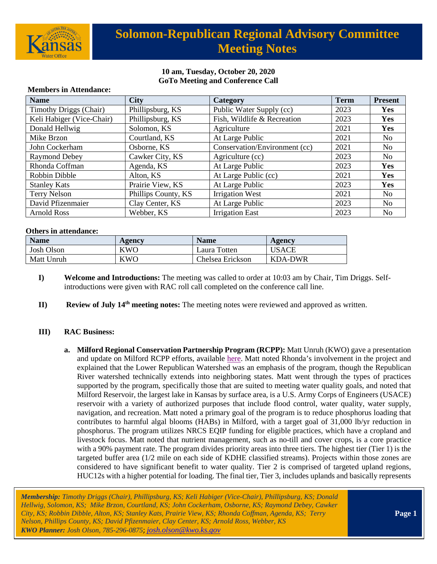

# **Solomon-Republican Regional Advisory Committee Meeting Notes**

### **10 am, Tuesday, October 20, 2020 GoTo Meeting and Conference Call**

| <b>Name</b>                   | <b>City</b>         | Category                      | <b>Term</b> | <b>Present</b> |
|-------------------------------|---------------------|-------------------------------|-------------|----------------|
| <b>Timothy Driggs (Chair)</b> | Phillipsburg, KS    | Public Water Supply (cc)      | 2023        | <b>Yes</b>     |
| Keli Habiger (Vice-Chair)     | Phillipsburg, KS    | Fish, Wildlife & Recreation   | 2023        | Yes            |
| Donald Hellwig                | Solomon, KS         | Agriculture                   | 2021        | Yes            |
| Mike Brzon                    | Courtland, KS       | At Large Public               | 2021        | No.            |
| John Cockerham                | Osborne, KS         | Conservation/Environment (cc) | 2021        | No.            |
| <b>Raymond Debey</b>          | Cawker City, KS     | Agriculture (cc)              | 2023        | No.            |
| Rhonda Coffman                | Agenda, KS          | At Large Public               | 2023        | Yes            |
| Robbin Dibble                 | Alton, KS           | At Large Public (cc)          | 2021        | Yes            |
| <b>Stanley Kats</b>           | Prairie View, KS    | At Large Public               | 2023        | Yes            |
| <b>Terry Nelson</b>           | Phillips County, KS | <b>Irrigation West</b>        | 2021        | N <sub>0</sub> |
| David Pfizenmaier             | Clay Center, KS     | At Large Public               | 2023        | No             |
| <b>Arnold Ross</b>            | Webber, KS          | <b>Irrigation East</b>        | 2023        | N <sub>0</sub> |

#### **Members in Attendance:**

#### **Others in attendance:**

| <b>Name</b>       | Agency     | <b>Name</b>      | Agency       |
|-------------------|------------|------------------|--------------|
| <b>Josh Olson</b> | <b>KWO</b> | Laura Totten     | <b>USACE</b> |
| Matt Unruh        | KWO        | Chelsea Erickson | KDA-DWR      |

- **I) Welcome and Introductions:** The meeting was called to order at 10:03 am by Chair, Tim Driggs. Selfintroductions were given with RAC roll call completed on the conference call line.
- **II) Review of July 14th meeting notes:** The meeting notes were reviewed and approved as written.

### **III) RAC Business:**

**a. Milford Regional Conservation Partnership Program (RCPP):** Matt Unruh (KWO) gave a presentation and update on Milford RCPP efforts, available [here.](https://kwo.ks.gov/docs/default-source/regional-advisory-committees/solomon-republican-rac/solomon-republican-rac-presentations/ppt_milfordrcpp_sr_rac_102020_mu.pdf?sfvrsn=69ac8314_2) Matt noted Rhonda's involvement in the project and explained that the Lower Republican Watershed was an emphasis of the program, though the Republican River watershed technically extends into neighboring states. Matt went through the types of practices supported by the program, specifically those that are suited to meeting water quality goals, and noted that Milford Reservoir, the largest lake in Kansas by surface area, is a U.S. Army Corps of Engineers (USACE) reservoir with a variety of authorized purposes that include flood control, water quality, water supply, navigation, and recreation. Matt noted a primary goal of the program is to reduce phosphorus loading that contributes to harmful algal blooms (HABs) in Milford, with a target goal of 31,000 lb/yr reduction in phosphorus. The program utilizes NRCS EQIP funding for eligible practices, which have a cropland and livestock focus. Matt noted that nutrient management, such as no-till and cover crops, is a core practice with a 90% payment rate. The program divides priority areas into three tiers. The highest tier (Tier 1) is the targeted buffer area (1/2 mile on each side of KDHE classified streams). Projects within those zones are considered to have significant benefit to water quality. Tier 2 is comprised of targeted upland regions, HUC12s with a higher potential for loading. The final tier, Tier 3, includes uplands and basically represents

*Membership: Timothy Driggs (Chair), Phillipsburg, KS; Keli Habiger (Vice-Chair), Phillipsburg, KS; Donald Hellwig, Solomon, KS; Mike Brzon, Courtland, KS; John Cockerham, Osborne, KS; Raymond Debey, Cawker City, KS; Robbin Dibble, Alton, KS; Stanley Kats, Prairie View, KS; Rhonda Coffman, Agenda, KS; Terry Nelson, Phillips County, KS; David Pfizenmaier, Clay Center, KS; Arnold Ross, Webber, KS KWO Planner: Josh Olson, 785-296-0875*; *[josh.olson@kwo.ks.gov](mailto:josh.olson@kwo.ks.gov)*

**Page 1**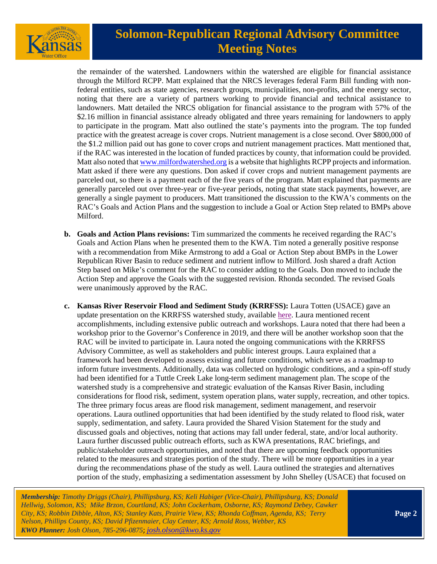

# **Solomon-Republican Regional Advisory Committee Meeting Notes**

the remainder of the watershed. Landowners within the watershed are eligible for financial assistance through the Milford RCPP. Matt explained that the NRCS leverages federal Farm Bill funding with nonfederal entities, such as state agencies, research groups, municipalities, non-profits, and the energy sector, noting that there are a variety of partners working to provide financial and technical assistance to landowners. Matt detailed the NRCS obligation for financial assistance to the program with 57% of the \$2.16 million in financial assistance already obligated and three years remaining for landowners to apply to participate in the program. Matt also outlined the state's payments into the program. The top funded practice with the greatest acreage is cover crops. Nutrient management is a close second. Over \$800,000 of the \$1.2 million paid out has gone to cover crops and nutrient management practices. Matt mentioned that, if the RAC was interested in the location of funded practices by county, that information could be provided. Matt also noted tha[t www.milfordwatershed.org](http://www.milfordwatershed.org/) is a website that highlights RCPP projects and information. Matt asked if there were any questions. Don asked if cover crops and nutrient management payments are parceled out, so there is a payment each of the five years of the program. Matt explained that payments are generally parceled out over three-year or five-year periods, noting that state stack payments, however, are generally a single payment to producers. Matt transitioned the discussion to the KWA's comments on the RAC's Goals and Action Plans and the suggestion to include a Goal or Action Step related to BMPs above Milford.

- **b. Goals and Action Plans revisions:** Tim summarized the comments he received regarding the RAC's Goals and Action Plans when he presented them to the KWA. Tim noted a generally positive response with a recommendation from Mike Armstrong to add a Goal or Action Step about BMPs in the Lower Republican River Basin to reduce sediment and nutrient inflow to Milford. Josh shared a draft Action Step based on Mike's comment for the RAC to consider adding to the Goals. Don moved to include the Action Step and approve the Goals with the suggested revision. Rhonda seconded. The revised Goals were unanimously approved by the RAC.
- **c. Kansas River Reservoir Flood and Sediment Study (KRRFSS):** Laura Totten (USACE) gave an update presentation on the KRRFSS watershed study, available [here.](https://kwo.ks.gov/docs/default-source/regional-advisory-committees/solomon-republican-rac/solomon-republican-rac-presentations/2020-10-19_krrfss_solo-rep-rac.pdf?sfvrsn=46ac8314_2) Laura mentioned recent accomplishments, including extensive public outreach and workshops. Laura noted that there had been a workshop prior to the Governor's Conference in 2019, and there will be another workshop soon that the RAC will be invited to participate in. Laura noted the ongoing communications with the KRRFSS Advisory Committee, as well as stakeholders and public interest groups. Laura explained that a framework had been developed to assess existing and future conditions, which serve as a roadmap to inform future investments. Additionally, data was collected on hydrologic conditions, and a spin-off study had been identified for a Tuttle Creek Lake long-term sediment management plan. The scope of the watershed study is a comprehensive and strategic evaluation of the Kansas River Basin, including considerations for flood risk, sediment, system operation plans, water supply, recreation, and other topics. The three primary focus areas are flood risk management, sediment management, and reservoir operations. Laura outlined opportunities that had been identified by the study related to flood risk, water supply, sedimentation, and safety. Laura provided the Shared Vision Statement for the study and discussed goals and objectives, noting that actions may fall under federal, state, and/or local authority. Laura further discussed public outreach efforts, such as KWA presentations, RAC briefings, and public/stakeholder outreach opportunities, and noted that there are upcoming feedback opportunities related to the measures and strategies portion of the study. There will be more opportunities in a year during the recommendations phase of the study as well. Laura outlined the strategies and alternatives portion of the study, emphasizing a sedimentation assessment by John Shelley (USACE) that focused on

*Membership: Timothy Driggs (Chair), Phillipsburg, KS; Keli Habiger (Vice-Chair), Phillipsburg, KS; Donald Hellwig, Solomon, KS; Mike Brzon, Courtland, KS; John Cockerham, Osborne, KS; Raymond Debey, Cawker City, KS; Robbin Dibble, Alton, KS; Stanley Kats, Prairie View, KS; Rhonda Coffman, Agenda, KS; Terry Nelson, Phillips County, KS; David Pfizenmaier, Clay Center, KS; Arnold Ross, Webber, KS KWO Planner: Josh Olson, 785-296-0875*; *[josh.olson@kwo.ks.gov](mailto:josh.olson@kwo.ks.gov)*